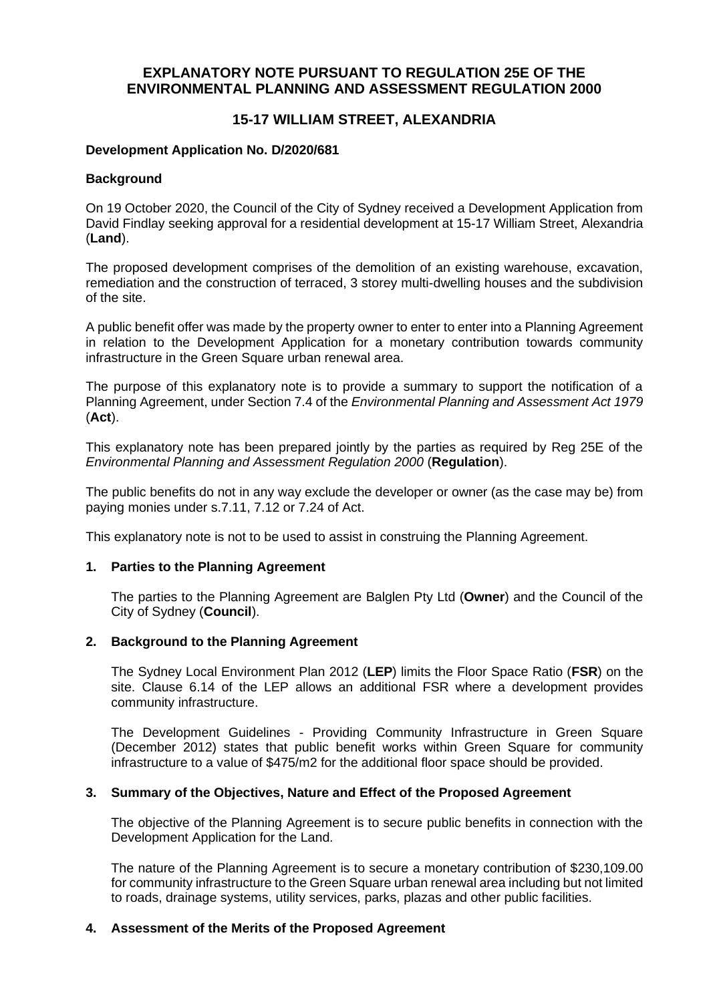# **EXPLANATORY NOTE PURSUANT TO REGULATION 25E OF THE ENVIRONMENTAL PLANNING AND ASSESSMENT REGULATION 2000**

# **15-17 WILLIAM STREET, ALEXANDRIA**

# **Development Application No. D/2020/681**

#### **Background**

On 19 October 2020, the Council of the City of Sydney received a Development Application from David Findlay seeking approval for a residential development at 15-17 William Street, Alexandria (**Land**).

The proposed development comprises of the demolition of an existing warehouse, excavation, remediation and the construction of terraced, 3 storey multi-dwelling houses and the subdivision of the site.

A public benefit offer was made by the property owner to enter to enter into a Planning Agreement in relation to the Development Application for a monetary contribution towards community infrastructure in the Green Square urban renewal area.

The purpose of this explanatory note is to provide a summary to support the notification of a Planning Agreement, under Section 7.4 of the *Environmental Planning and Assessment Act 1979*  (**Act**).

This explanatory note has been prepared jointly by the parties as required by Reg 25E of the *Environmental Planning and Assessment Regulation 2000* (**Regulation**).

The public benefits do not in any way exclude the developer or owner (as the case may be) from paying monies under s.7.11, 7.12 or 7.24 of Act.

This explanatory note is not to be used to assist in construing the Planning Agreement.

# **1. Parties to the Planning Agreement**

The parties to the Planning Agreement are Balglen Pty Ltd (**Owner**) and the Council of the City of Sydney (**Council**).

# **2. Background to the Planning Agreement**

The Sydney Local Environment Plan 2012 (**LEP**) limits the Floor Space Ratio (**FSR**) on the site. Clause 6.14 of the LEP allows an additional FSR where a development provides community infrastructure.

The Development Guidelines - Providing Community Infrastructure in Green Square (December 2012) states that public benefit works within Green Square for community infrastructure to a value of \$475/m2 for the additional floor space should be provided.

#### **3. Summary of the Objectives, Nature and Effect of the Proposed Agreement**

The objective of the Planning Agreement is to secure public benefits in connection with the Development Application for the Land.

The nature of the Planning Agreement is to secure a monetary contribution of \$230,109.00 for community infrastructure to the Green Square urban renewal area including but not limited to roads, drainage systems, utility services, parks, plazas and other public facilities.

# **4. Assessment of the Merits of the Proposed Agreement**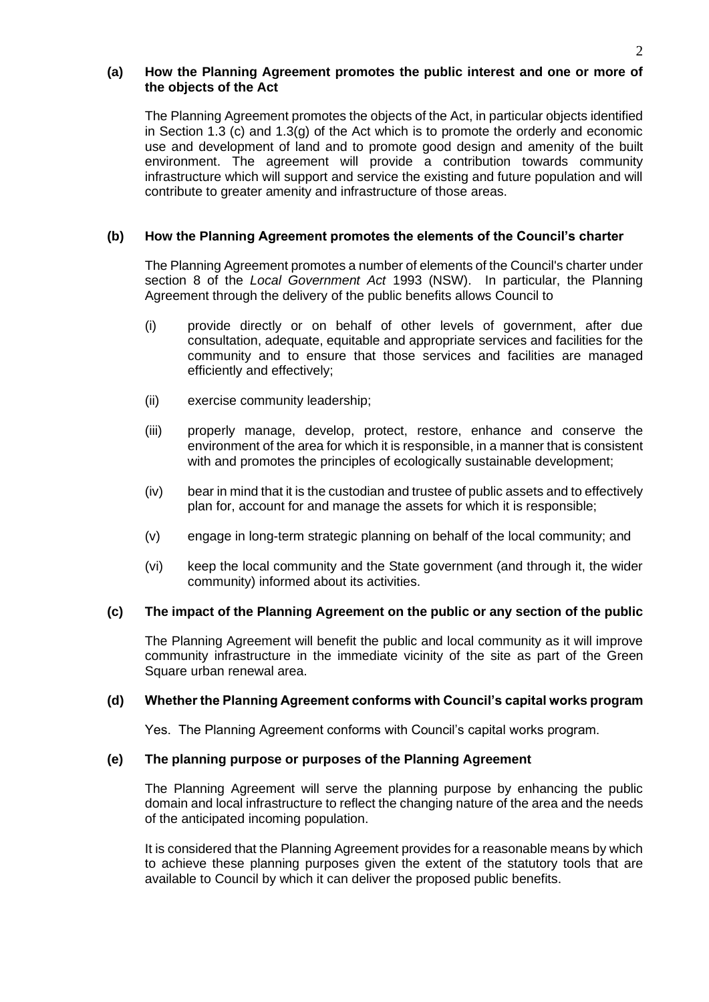#### **(a) How the Planning Agreement promotes the public interest and one or more of the objects of the Act**

The Planning Agreement promotes the objects of the Act, in particular objects identified in Section 1.3 (c) and 1.3(g) of the Act which is to promote the orderly and economic use and development of land and to promote good design and amenity of the built environment. The agreement will provide a contribution towards community infrastructure which will support and service the existing and future population and will contribute to greater amenity and infrastructure of those areas.

# **(b) How the Planning Agreement promotes the elements of the Council's charter**

The Planning Agreement promotes a number of elements of the Council's charter under section 8 of the *Local Government Act* 1993 (NSW). In particular, the Planning Agreement through the delivery of the public benefits allows Council to

- (i) provide directly or on behalf of other levels of government, after due consultation, adequate, equitable and appropriate services and facilities for the community and to ensure that those services and facilities are managed efficiently and effectively;
- (ii) exercise community leadership;
- (iii) properly manage, develop, protect, restore, enhance and conserve the environment of the area for which it is responsible, in a manner that is consistent with and promotes the principles of ecologically sustainable development;
- (iv) bear in mind that it is the custodian and trustee of public assets and to effectively plan for, account for and manage the assets for which it is responsible;
- (v) engage in long-term strategic planning on behalf of the local community; and
- (vi) keep the local community and the State government (and through it, the wider community) informed about its activities.

# **(c) The impact of the Planning Agreement on the public or any section of the public**

The Planning Agreement will benefit the public and local community as it will improve community infrastructure in the immediate vicinity of the site as part of the Green Square urban renewal area.

#### **(d) Whether the Planning Agreement conforms with Council's capital works program**

Yes. The Planning Agreement conforms with Council's capital works program.

#### **(e) The planning purpose or purposes of the Planning Agreement**

The Planning Agreement will serve the planning purpose by enhancing the public domain and local infrastructure to reflect the changing nature of the area and the needs of the anticipated incoming population.

It is considered that the Planning Agreement provides for a reasonable means by which to achieve these planning purposes given the extent of the statutory tools that are available to Council by which it can deliver the proposed public benefits.